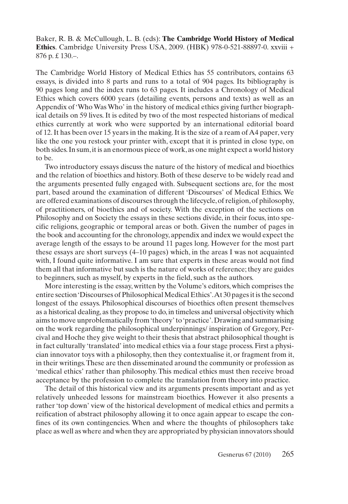Baker, R. B. & McCullough, L. B. (eds): **The Cambridge World History of Medical Ethics**. Cambridge University Press USA, 2009. (HBK) 978-0-521-88897-0. xxviii + 876 p. £ 130.–.

The Cambridge World History of Medical Ethics has 55 contributors, contains 63 essays, is divided into 8 parts and runs to a total of 904 pages. Its bibliography is 90 pages long and the index runs to 63 pages. It includesaChronology of Medical Ethics which covers 6000 years (detailing events, persons and texts) as well as an Appendix of'WhoWas Who' in the history of medical ethics giving further biographical details on 59 lives.It is edited by two of the most respected historians of medical ethics currently at work who were supported by an international editorial board of 12. It has been over 15 years in the making. It is the size of a ream of A4 paper, very like the one you restock your printer with, except that it is printed in close type, on both sides. In sum, it is an enormous piece of work, as one might expect a world history to be.

Two introductory essays discuss the nature of the history of medical and bioethics and the relation of bioethics and history. Both of these deserve to be widely read and the arguments presented fully engaged with. Subsequent sections are, for the most part, based around the examination of different 'Discourses' of Medical Ethics. We are offered examinations of discoursesthrough the lifecycle,of religion,of philosophy, of practitioners, of bioethics and of society. With the exception of the sections on Philosophy and on Society the essays in these sections divide, in their focus, into specific religions, geographic or temporal areas or both. Given the number of pages in the book and accounting for the chronology, appendix and index we would expect the average length of the essays to be around 11 pages long. However for the most part these essays are short surveys (4–10 pages) which, in the areas I was not acquainted with, I found quite informative. I am sure that experts in these areas would not find them all that informative but such is the nature of works of reference; they are guides to beginners, such as myself, by experts in the field, such as the authors.

More interesting is the essay, written by the Volume's editors, which comprises the entire section 'Discourses of Philosophical Medical Ethics'. At 30 pages it is the second longest of the essays. Philosophical discourses of bioethics often present themselves as a historical dealing, as they propose to do,in timeless and universal objectivity which aims to move unproblematically from'theory' to'practice'.Drawing and summarising on the work regarding the philosophical underpinnings/ inspiration of Gregory, Percival and Hoche they give weight to their thesis that abstract philosophical thought is in fact culturally 'translated' into medical ethics via a four stage process. First a physician innovator toys with a philosophy, then they contextualise it, or fragment from it, in their writings.These are then disseminated around the community or profession as 'medical ethics' rather than philosophy. This medical ethics must then receive broad acceptance by the profession to complete the translation from theory into practice.

The detail of this historical view and its arguments presents important and as yet relatively unheeded lessons for mainstream bioethics. However it also presents a rather'top down' view of the historical development of medical ethics and permits a reification of abstract philosophy allowing it to once again appear to escape the confines of its own contingencies. When and where the thoughts of philosophers take place as well as where and when they are appropriated by physician innovatorsshould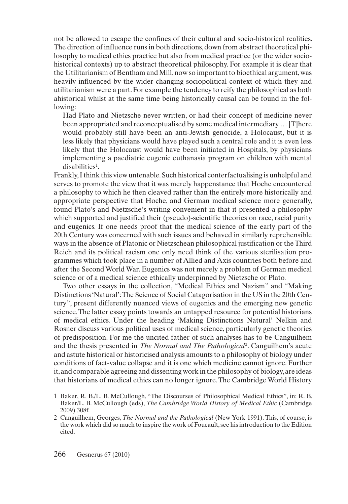not be allowed to escape the confines of their cultural and socio-historical realities. The direction of influence runs in both directions, down from abstract theoretical philosophy to medical ethics practice but also from medical practice (or the wider sociohistorical contexts) up to abstract theoretical philosophy. For example it is clear that the Utilitarianism of Bentham and Mill,now so important to bioethical argument,was heavily influenced by the wider changing sociopolitical context of which they and utilitarianism were a part.For example the tendency to reify the philosophical as both ahistorical whilst at the same time being historically causal can be found in the following:

Had Plato and Nietzsche never written, or had their concept of medicine never been appropriated and reconceptualised by some medical intermediary … [T]here would probably still have been an anti-Jewish genocide, a Holocaust, but it is less likely that physicians would have played such a central role and it is even less likely that the Holocaust would have been initiated in Hospitals, by physicians implementing a paediatric eugenic euthanasia program on children with mental  $disabilities<sup>1</sup>$ .

Frankly,Ithink this view untenable.Such historical conterfactualising is unhelpful and serves to promote the view that it was merely happenstance that Hoche encountered a philosophy to which he then cleaved rather than the entirely more historically and appropriate perspective that Hoche, and German medical science more generally, found Plato's and Nietzsche's writing convenient in that it presented a philosophy which supported and justified their (pseudo)-scientific theories on race, racial purity and eugenics. If one needs proof that the medical science of the early part of the 20th Century was concerned with such issues and behaved in similarly reprehensible waysin the absence of Platonic or Nietzschean philosophical justification ortheThird Reich and its political racism one only need think of the various sterilisation programmes which took place in a number of Allied and Axis countries both before and after the Second World War. Eugenics was not merely a problem of German medical science or of a medical science ethically underpinned by Nietzsche or Plato.

Two other essays in the collection, "Medical Ethics and Nazism" and "Making Distinctions'Natural':The Science of Social Catagorisation in the US in the 20th Century", present differently nuanced views of eugenics and the emerging new genetic science.The latter essay points towards an untapped resource for potential historians of medical ethics. Under the heading 'Making Distinctions Natural' Nelkin and Rosner discuss various political uses of medical science, particularly genetic theories of predisposition. For me the uncited father of such analyses has to be Canguilhem and the thesis presented in *The Normal and The Pathological*<sup>2</sup> . Canguilhem's acute and astute historical or historicised analysis amountsto a philosophy of biology under conditions of fact-value collapse and it is one which medicine cannot ignore. Further it,and comparable agreeing and dissenting work in the philosophy of biology,are ideas that historians of medical ethics can no longer ignore.The Cambridge World History

<sup>1</sup> Baker, R. B./L. B. McCullough, "The Discourses of Philosophical Medical Ethics", in: R. B. Baker/L. B. McCullough (eds), *The Cambridge World History of Medical Ethic* (Cambridge 2009) 308f.

<sup>2</sup> Canguilhem, Georges, *The Normal and the Pathological* (New York 1991). This, of course, is the work which did so much to inspire the work of Foucault,see hisintroduction to the Edition cited.